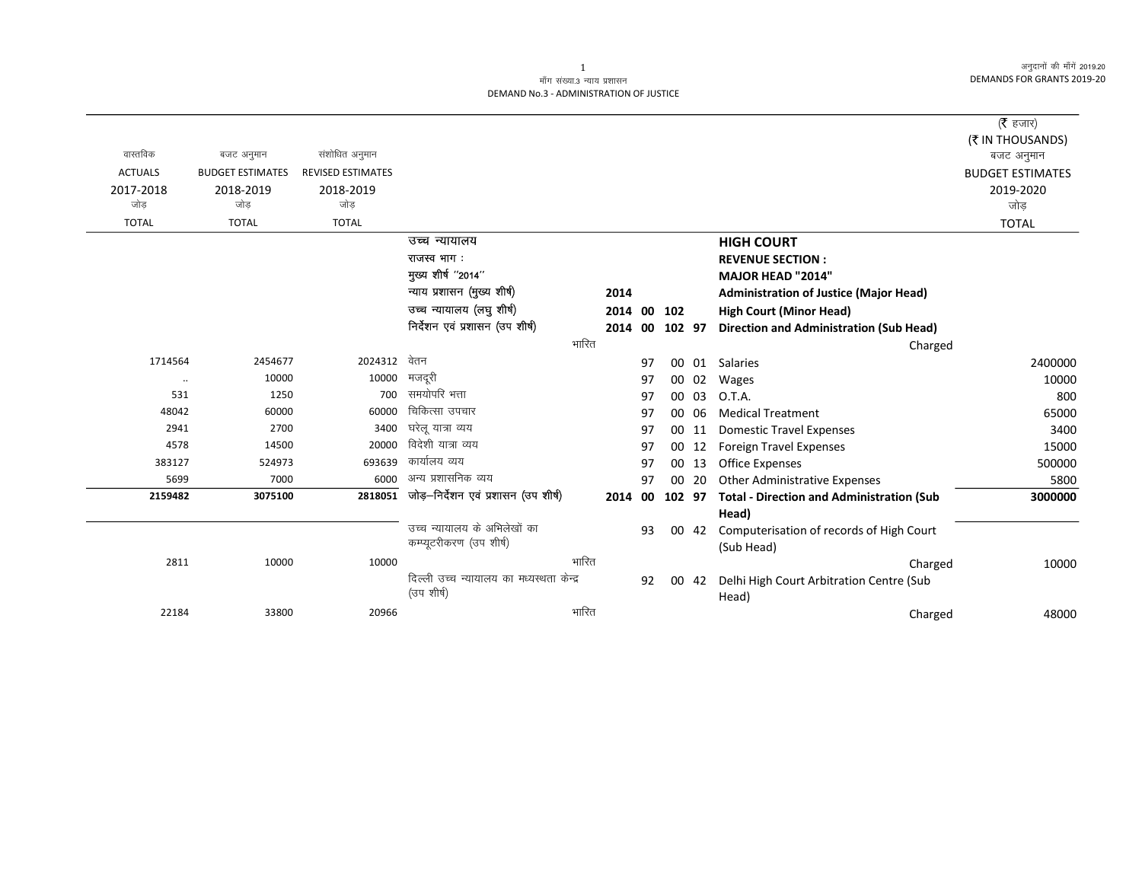अनुदानों की माँगें 2019.20 DEMANDS FOR GRANTS 2019-20

## माँग संख्या.3 न्याय प्रशासन DEMAND No.3 - ADMINISTRATION OF JUSTICE

|                |                         |                          |                                           |       |      |    |        |       |                                                  | ( $\bar{\tau}$ हजार)           |
|----------------|-------------------------|--------------------------|-------------------------------------------|-------|------|----|--------|-------|--------------------------------------------------|--------------------------------|
| वास्तविक       | बजट अनुमान              | संशोधित अनुमान           |                                           |       |      |    |        |       |                                                  | (₹ IN THOUSANDS)<br>बजट अनुमान |
| <b>ACTUALS</b> | <b>BUDGET ESTIMATES</b> | <b>REVISED ESTIMATES</b> |                                           |       |      |    |        |       |                                                  | <b>BUDGET ESTIMATES</b>        |
| 2017-2018      | 2018-2019               | 2018-2019                |                                           |       |      |    |        |       |                                                  | 2019-2020                      |
| जोड            | जोड                     | जोड                      |                                           |       |      |    |        |       |                                                  | जोड                            |
| <b>TOTAL</b>   | <b>TOTAL</b>            | <b>TOTAL</b>             |                                           |       |      |    |        |       |                                                  | <b>TOTAL</b>                   |
|                |                         |                          | उच्च न्यायालय                             |       |      |    |        |       | <b>HIGH COURT</b>                                |                                |
|                |                         |                          | राजस्व भाग:                               |       |      |    |        |       | <b>REVENUE SECTION:</b>                          |                                |
|                |                         |                          | मुख्य शीर्ष "2014"                        |       |      |    |        |       | <b>MAJOR HEAD "2014"</b>                         |                                |
|                |                         |                          | न्याय प्रशासन (मुख्य शीर्ष)               |       | 2014 |    |        |       | <b>Administration of Justice (Major Head)</b>    |                                |
|                |                         |                          | उच्च न्यायालय (लघु शीर्ष)                 |       | 2014 | 00 | 102    |       | <b>High Court (Minor Head)</b>                   |                                |
|                |                         |                          | निर्देशन एवं प्रशासन (उप शीर्ष)           |       | 2014 | 00 | 102 97 |       | <b>Direction and Administration (Sub Head)</b>   |                                |
|                |                         |                          |                                           | भारित |      |    |        |       | Charged                                          |                                |
| 1714564        | 2454677                 | 2024312                  | वेतन                                      |       |      | 97 |        | 00 01 | Salaries                                         | 2400000                        |
| $\ddotsc$      | 10000                   | 10000                    | मजदरी                                     |       |      | 97 |        | 00 02 | Wages                                            | 10000                          |
| 531            | 1250                    | 700                      | समयोपरि भत्ता                             |       |      | 97 |        | 00 03 | O.T.A.                                           | 800                            |
| 48042          | 60000                   | 60000                    | चिकित्सा उपचार                            |       |      | 97 | 00 06  |       | <b>Medical Treatment</b>                         | 65000                          |
| 2941           | 2700                    | 3400                     | घरेलू यात्रा व्यय                         |       |      | 97 | 00 11  |       | <b>Domestic Travel Expenses</b>                  | 3400                           |
| 4578           | 14500                   | 20000                    | विदेशी यात्रा व्यय                        |       |      | 97 |        | 00 12 | <b>Foreign Travel Expenses</b>                   | 15000                          |
| 383127         | 524973                  | 693639                   | कार्यालय व्यय                             |       |      | 97 | 00 13  |       | Office Expenses                                  | 500000                         |
| 5699           | 7000                    | 6000                     | अन्य प्रशासनिक व्यय                       |       |      | 97 | 00 20  |       | <b>Other Administrative Expenses</b>             | 5800                           |
| 2159482        | 3075100                 | 2818051                  | जोड़-निर्देशन एवं प्रशासन (उप शीर्ष)      |       | 2014 | 00 | 102 97 |       | <b>Total - Direction and Administration (Sub</b> | 3000000                        |
|                |                         |                          |                                           |       |      |    |        |       | Head)                                            |                                |
|                |                         |                          | उच्च न्यायालय के अभिलेखों का              |       |      | 93 |        | 00 42 | Computerisation of records of High Court         |                                |
|                |                         |                          | कम्प्यूटरीकरण (उप शीर्ष)                  |       |      |    |        |       | (Sub Head)                                       |                                |
| 2811           | 10000                   | 10000                    |                                           | भारित |      |    |        |       | Charged                                          | 10000                          |
|                |                         |                          | दिल्ली उच्च न्यायालय का मध्यस्थता केन्द्र |       |      | 92 |        | 00 42 | Delhi High Court Arbitration Centre (Sub         |                                |
|                |                         |                          | (उप शीर्ष)                                |       |      |    |        |       | Head)                                            |                                |
| 22184          | 33800                   | 20966                    |                                           | भारित |      |    |        |       | Charged                                          | 48000                          |